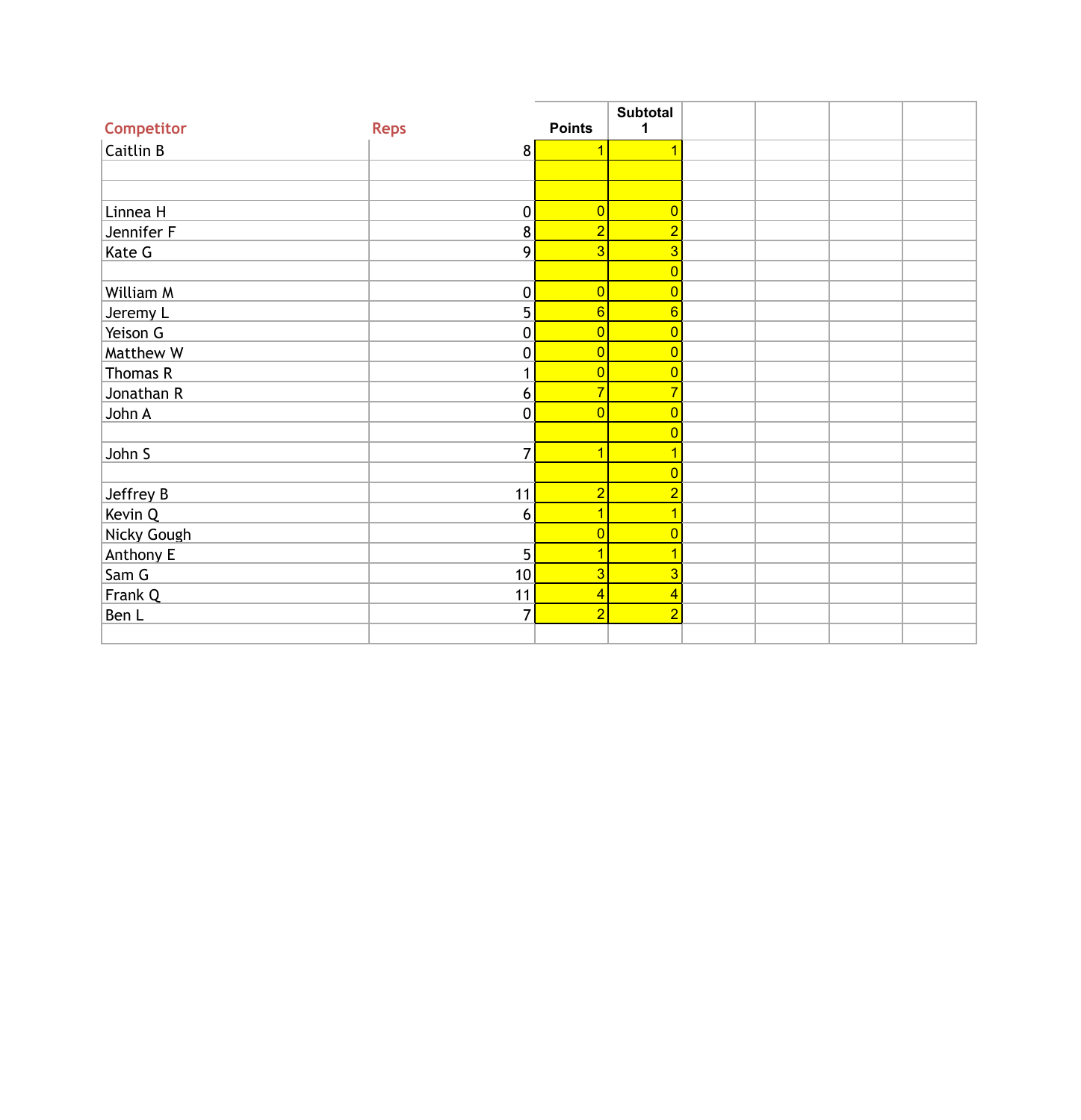|             |                |                | <b>Subtotal</b> |  |  |
|-------------|----------------|----------------|-----------------|--|--|
| Competitor  | <b>Reps</b>    | <b>Points</b>  | 1               |  |  |
| Caitlin B   | 8              | 1              |                 |  |  |
|             |                |                |                 |  |  |
|             |                |                |                 |  |  |
| Linnea H    | $\pmb{0}$      | $\overline{0}$ | $\overline{0}$  |  |  |
| Jennifer F  | 8              | $\overline{2}$ | $\overline{2}$  |  |  |
| Kate G      | 9              | $\overline{3}$ | 3               |  |  |
|             |                |                | $\overline{0}$  |  |  |
| William M   | $\pmb{0}$      | $\overline{0}$ | $\overline{0}$  |  |  |
| Jeremy L    | 5              | $6\phantom{a}$ | $\overline{6}$  |  |  |
| Yeison G    | $\pmb{0}$      | $\overline{0}$ | $\overline{0}$  |  |  |
| Matthew W   | $\mathbf 0$    | $\overline{0}$ | $\overline{0}$  |  |  |
| Thomas R    | $\mathbf{1}$   | $\overline{0}$ | $\overline{0}$  |  |  |
| Jonathan R  | 6              | $\overline{7}$ | 7               |  |  |
| John A      | $\mathbf 0$    | $\overline{0}$ | $\overline{0}$  |  |  |
|             |                |                | $\overline{0}$  |  |  |
| John S      | $\overline{7}$ | $\overline{1}$ |                 |  |  |
|             |                |                | $\overline{0}$  |  |  |
| Jeffrey B   | 11             | $\overline{2}$ | $\overline{2}$  |  |  |
| Kevin Q     | 6              | $\overline{1}$ |                 |  |  |
| Nicky Gough |                | $\overline{0}$ | $\overline{0}$  |  |  |
| Anthony E   | 5              | 1              |                 |  |  |
| Sam G       | 10             | $\overline{3}$ | 3               |  |  |
| Frank Q     | 11             | $\overline{4}$ | 4               |  |  |
| Ben L       | $\overline{7}$ | $\overline{2}$ | $\overline{2}$  |  |  |
|             |                |                |                 |  |  |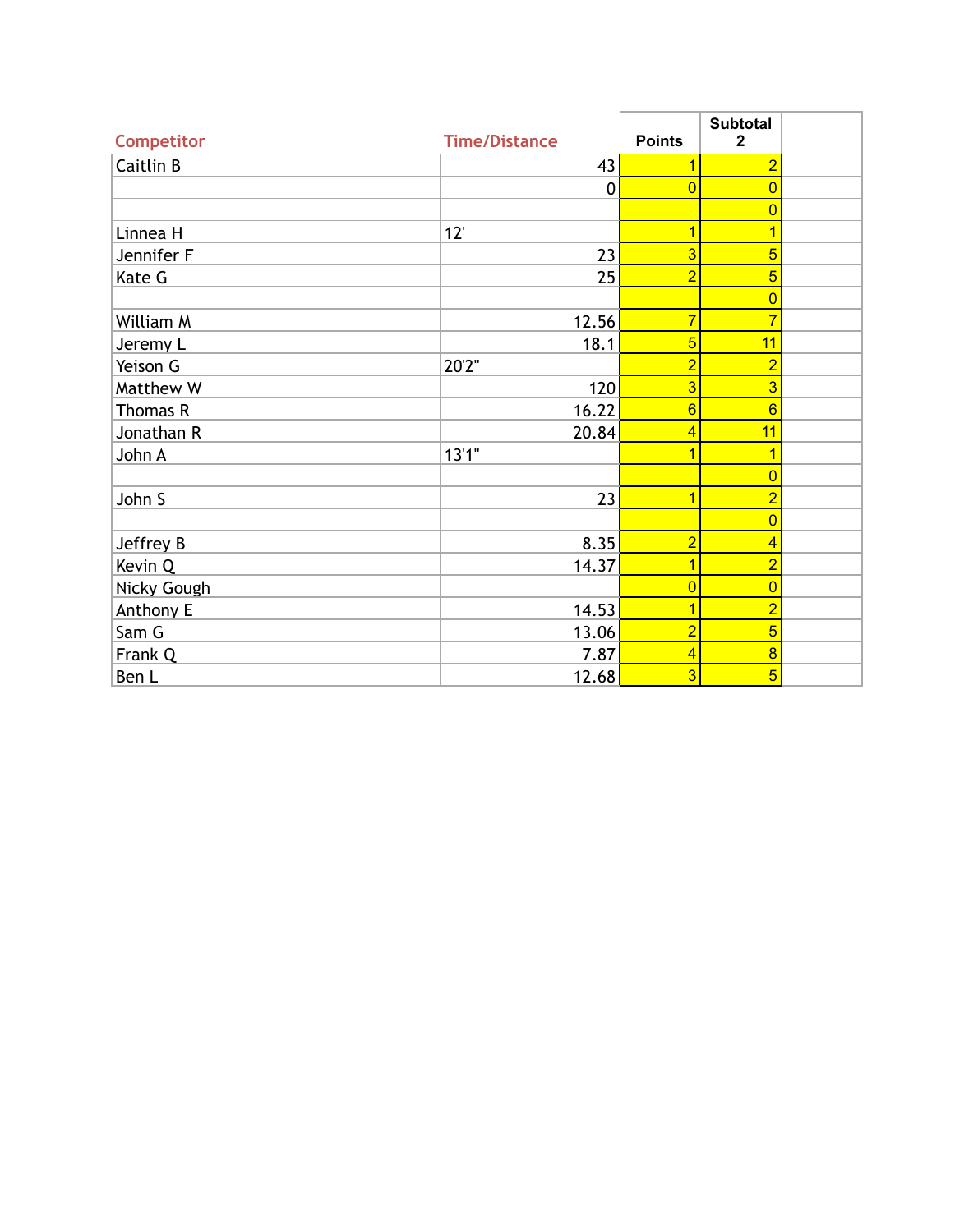| <b>Competitor</b> | <b>Time/Distance</b> | <b>Points</b>   | <b>Subtotal</b><br>$\mathbf{2}$ |  |
|-------------------|----------------------|-----------------|---------------------------------|--|
| <b>Caitlin B</b>  | 43                   |                 | $\overline{2}$                  |  |
|                   | $\mathbf 0$          | $\overline{0}$  | $\Omega$                        |  |
|                   |                      |                 | $\overline{0}$                  |  |
| Linnea H          | 12'                  | и               |                                 |  |
| Jennifer F        | 23                   | 3               | 5                               |  |
| Kate G            | 25                   | $\overline{2}$  | 5                               |  |
|                   |                      |                 | $\overline{0}$                  |  |
| William M         | 12.56                | $\overline{7}$  |                                 |  |
| Jeremy L          | 18.1                 | 5               | 11                              |  |
| Yeison G          | 20'2"                | $\overline{2}$  | $\overline{2}$                  |  |
| Matthew W         | 120                  | 3               | 3                               |  |
| Thomas R          | 16.22                | $6\overline{6}$ | 6                               |  |
| Jonathan R        | 20.84                | 4               | 11                              |  |
| John A            | 13'1''               |                 |                                 |  |
|                   |                      |                 | $\Omega$                        |  |
| John S            | 23                   | 1               | $\overline{2}$                  |  |
|                   |                      |                 | $\overline{0}$                  |  |
| Jeffrey B         | 8.35                 | $\overline{2}$  | 4                               |  |
| Kevin Q           | 14.37                | 1               | $\overline{2}$                  |  |
| Nicky Gough       |                      | $\overline{0}$  | $\overline{0}$                  |  |
| Anthony E         | 14.53                | 1               | $\overline{2}$                  |  |
| Sam G             | 13.06                | $\overline{2}$  | 5                               |  |
| Frank Q           | 7.87                 | 4               | 8                               |  |
| Ben L             | 12.68                | 3               | $\overline{5}$                  |  |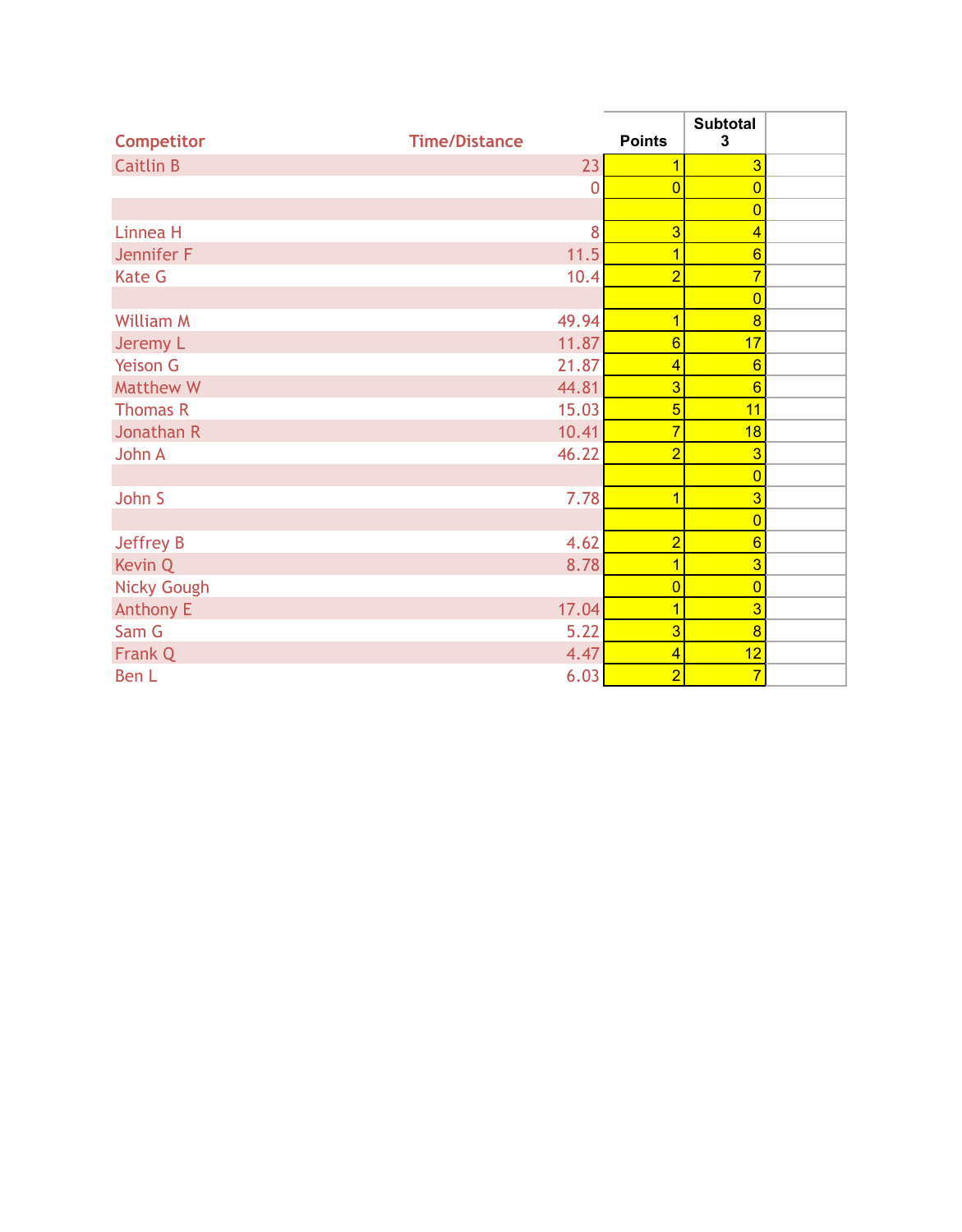| <b>Competitor</b>  | <b>Time/Distance</b> | <b>Points</b>           | <b>Subtotal</b><br>3 |  |
|--------------------|----------------------|-------------------------|----------------------|--|
| <b>Caitlin B</b>   | 23                   | 1                       | $\overline{3}$       |  |
|                    | 0                    | $\overline{0}$          | $\overline{0}$       |  |
|                    |                      |                         | $\overline{0}$       |  |
| Linnea H           | 8                    | 3                       | $\overline{4}$       |  |
| Jennifer F         | 11.5                 | $\overline{\mathbf{1}}$ | $6\phantom{a}$       |  |
| <b>Kate G</b>      | 10.4                 | $\overline{2}$          | $\overline{7}$       |  |
|                    |                      |                         | $\overline{0}$       |  |
| <b>William M</b>   | 49.94                | $\overline{1}$          | $\overline{8}$       |  |
| Jeremy L           | 11.87                | $6\phantom{a}$          | 17                   |  |
| <b>Yeison G</b>    | 21.87                | $\overline{4}$          | 6                    |  |
| Matthew W          | 44.81                | $\overline{3}$          | $6\phantom{1}6$      |  |
| <b>Thomas R</b>    | 15.03                | 5                       | 11                   |  |
| Jonathan R         | 10.41                | $\overline{7}$          | 18                   |  |
| John A             | 46.22                | $\overline{2}$          | $\overline{3}$       |  |
|                    |                      |                         | $\overline{0}$       |  |
| John S             | 7.78                 | $\overline{1}$          | 3                    |  |
|                    |                      |                         | $\overline{0}$       |  |
| Jeffrey B          | 4.62                 | $\overline{2}$          | $6\phantom{a}$       |  |
| Kevin Q            | 8.78                 | $\overline{1}$          | $\overline{3}$       |  |
| <b>Nicky Gough</b> |                      | $\overline{0}$          | $\overline{0}$       |  |
| <b>Anthony E</b>   | 17.04                | 1                       | $\overline{3}$       |  |
| Sam G              | 5.22                 | $\overline{3}$          | $\overline{8}$       |  |
| Frank Q            | 4.47                 | $\overline{4}$          | 12                   |  |
| Ben L              | 6.03                 | $\overline{2}$          | $\overline{7}$       |  |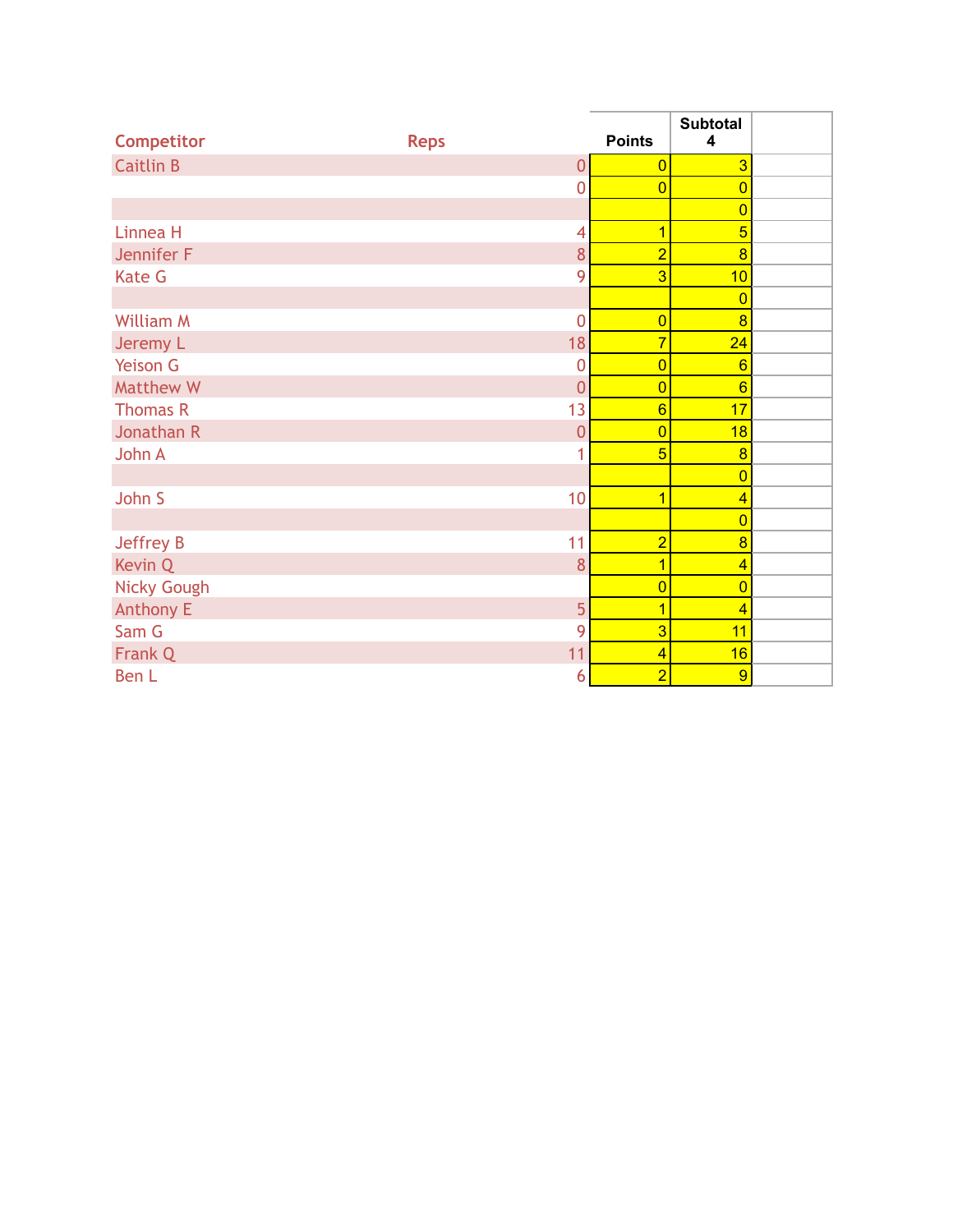| Competitor         | <b>Reps</b> |                | <b>Points</b>  | <b>Subtotal</b><br>4 |  |
|--------------------|-------------|----------------|----------------|----------------------|--|
| <b>Caitlin B</b>   |             | $\overline{0}$ | $\overline{0}$ | $\overline{3}$       |  |
|                    |             | $\overline{0}$ | $\overline{0}$ | $\overline{0}$       |  |
|                    |             |                |                | $\overline{0}$       |  |
| Linnea H           |             | 4              | $\overline{1}$ | $\overline{5}$       |  |
| Jennifer F         |             | 8              | $\overline{2}$ | $\overline{8}$       |  |
| <b>Kate G</b>      |             | 9              | 3              | 10                   |  |
|                    |             |                |                | $\overline{0}$       |  |
| <b>William M</b>   |             | $\overline{0}$ | $\overline{0}$ | $\overline{8}$       |  |
| Jeremy L           |             | 18             | $\overline{7}$ | 24                   |  |
| <b>Yeison G</b>    |             | $\overline{0}$ | $\overline{0}$ | 6                    |  |
| Matthew W          |             | $\overline{0}$ | $\overline{0}$ | $6\phantom{a}$       |  |
| <b>Thomas R</b>    |             | 13             | $6\phantom{a}$ | 17                   |  |
| Jonathan R         |             | $\overline{0}$ | $\overline{0}$ | 18                   |  |
| John A             |             | 1              | $\overline{5}$ | $\overline{8}$       |  |
|                    |             |                |                | $\overline{0}$       |  |
| John S             |             | 10             | $\overline{1}$ | $\overline{4}$       |  |
|                    |             |                |                | $\overline{0}$       |  |
| Jeffrey B          |             | 11             | $\overline{2}$ | $\overline{8}$       |  |
| Kevin Q            |             | 8              | $\overline{1}$ | $\overline{4}$       |  |
| <b>Nicky Gough</b> |             |                | $\overline{0}$ | $\overline{0}$       |  |
| <b>Anthony E</b>   |             | 5              | 1              | $\overline{4}$       |  |
| Sam G              |             | 9              | $\overline{3}$ | 11                   |  |
| Frank Q            |             | 11             | $\overline{4}$ | 16                   |  |
| Ben L              |             | 6              | $\overline{2}$ | 9                    |  |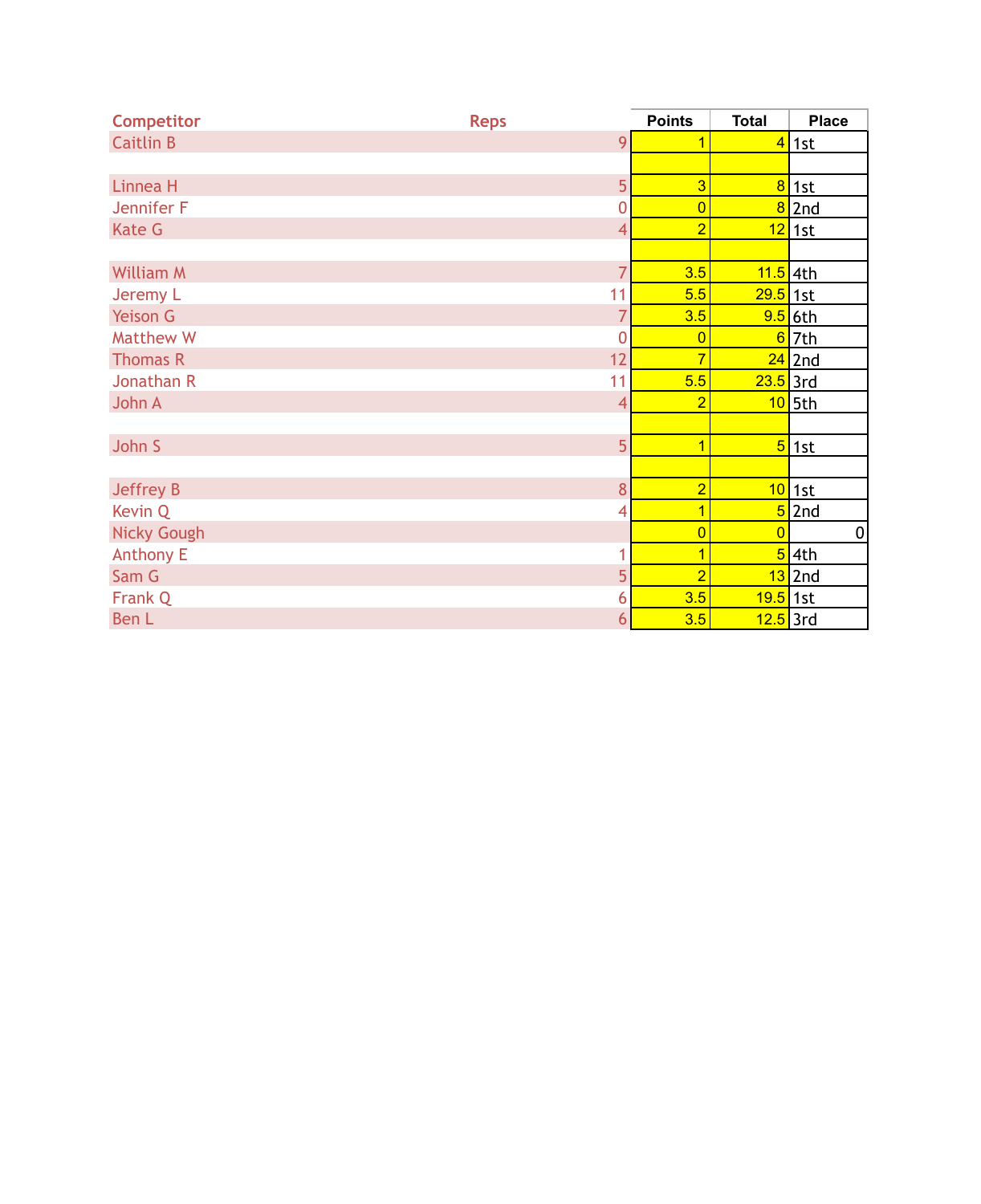| <b>Competitor</b>  | <b>Reps</b>    | <b>Points</b>  | <b>Total</b>          | <b>Place</b>         |
|--------------------|----------------|----------------|-----------------------|----------------------|
| <b>Caitlin B</b>   | 9              | 1              | $\overline{4}$        | 1st                  |
|                    |                |                |                       |                      |
| Linnea H           | 5              | $\overline{3}$ | 8                     | 1st                  |
| Jennifer F         | $\overline{0}$ | $\overline{0}$ | 8                     | 2nd                  |
| <b>Kate G</b>      | 4              | $\overline{2}$ |                       | <mark>12</mark> 1st  |
|                    |                |                |                       |                      |
| <b>William M</b>   | $\overline{7}$ | 3.5            | 11.5 4th              |                      |
| Jeremy L           | 11             | 5.5            | 29.5                  | 1st                  |
| Yeison G           | $\overline{7}$ | 3.5            |                       | <mark>9.5</mark> 6th |
| <b>Matthew W</b>   | $\overline{0}$ | $\overline{0}$ | $6\overline{6}$       | 7th                  |
| <b>Thomas R</b>    | 12             | $\overline{7}$ |                       | $24$ 2nd             |
| Jonathan R         | 11             | 5.5            | $23.5$ 3rd            |                      |
| John A             | $\overline{4}$ | $\overline{2}$ |                       | $10$ 5th             |
|                    |                |                |                       |                      |
| John S             | 5              | $\overline{1}$ | 5 <sub>5</sub>        | 1st                  |
|                    |                |                |                       |                      |
| Jeffrey B          | 8              | $\overline{2}$ | 10                    | 1st                  |
| Kevin Q            | 4              | $\overline{1}$ |                       | 5 <sup>2nd</sup>     |
| <b>Nicky Gough</b> |                | $\overline{0}$ | $\overline{0}$        | $\vert 0 \vert$      |
| <b>Anthony E</b>   | 1              | $\overline{1}$ |                       | 54th                 |
| Sam G              | 5              | $\overline{2}$ |                       | 13 2nd               |
| Frank Q            | 6              | 3.5            | <mark>19.5</mark> 1st |                      |
| Ben L              | 6              | 3.5            | 12.5 3rd              |                      |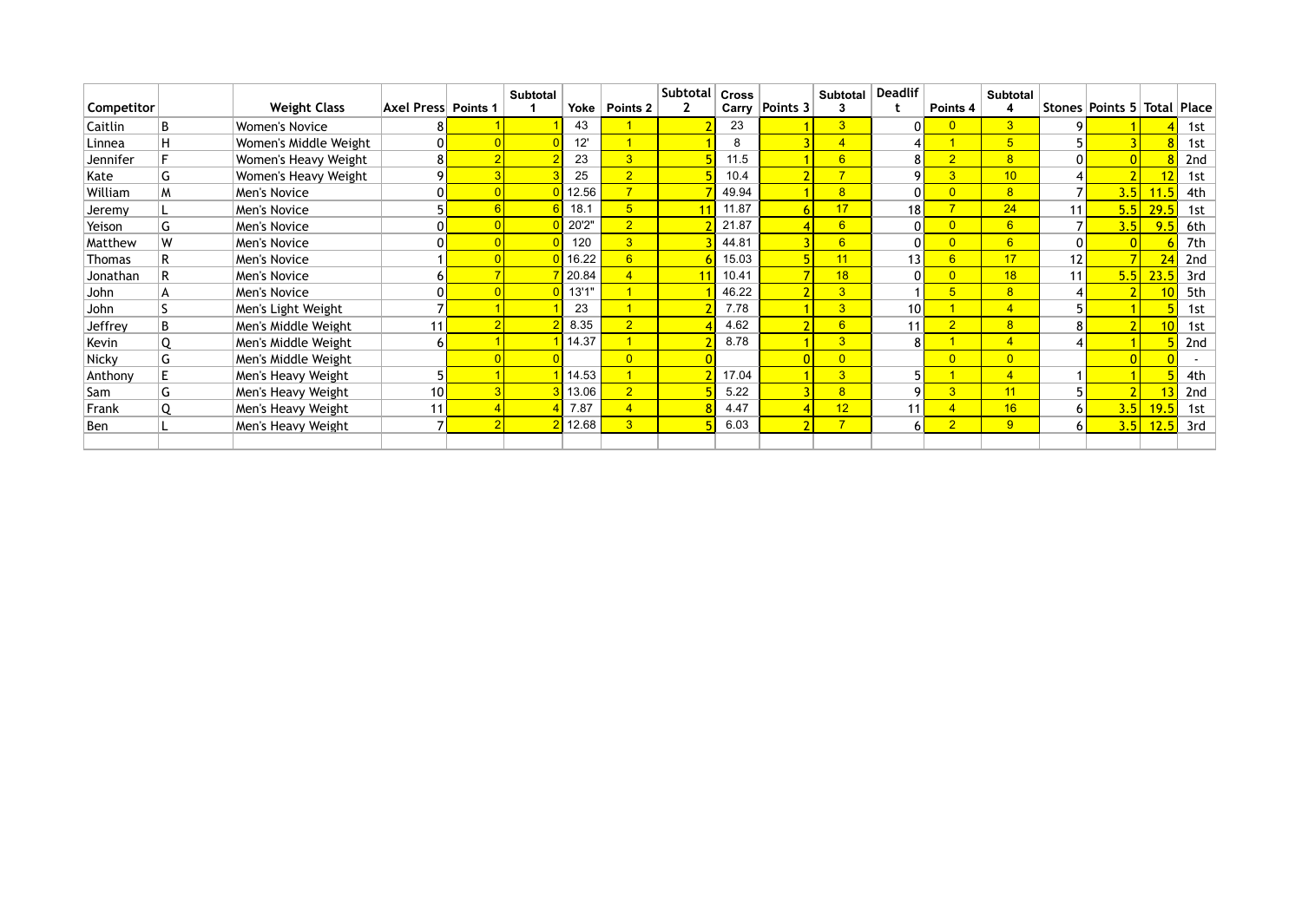|              |   |                       |                     | <b>Subtotal</b> |       |                      | Subtotal | <b>Cross</b> |                  | <b>Subtotal</b> | <b>Deadlif</b> |                 | <b>Subtotal</b> |                 |                             |      |     |
|--------------|---|-----------------------|---------------------|-----------------|-------|----------------------|----------|--------------|------------------|-----------------|----------------|-----------------|-----------------|-----------------|-----------------------------|------|-----|
| Competitor   |   | <b>Weight Class</b>   | Axel Press Points 1 |                 | Yoke  | Points <sub>2</sub>  |          | Carry        | Points 3         | 3               |                | Points 4        | 4               |                 | Stones Points 5 Total Place |      |     |
| Caitlin      | B | <b>Women's Novice</b> |                     |                 | 43    |                      |          | 23           |                  | $\overline{3}$  | 0              | $\overline{0}$  | 3 <sup>2</sup>  |                 |                             |      | 1st |
| Linnea       |   | Women's Middle Weight | 0                   |                 | 12'   |                      |          | 8            |                  | $\overline{4}$  |                |                 | 5 <sup>5</sup>  |                 |                             |      | 1st |
| Jennifer     |   | Women's Heavy Weight  | 8                   |                 | 23    | 3 <sup>1</sup>       |          | 11.5         |                  | $6\overline{6}$ | 8 <sup>1</sup> | $\overline{2}$  | 8 <sup>°</sup>  |                 |                             |      | 2nd |
| Kate         | G | Women's Heavy Weight  | 9                   |                 | 25    | 2 <sup>1</sup>       |          | 10.4         |                  | $\overline{7}$  | 9              | $\overline{3}$  | 10              |                 |                             | 12   | 1st |
| William      | M | Men's Novice          |                     |                 | 12.56 | $\overline{7}$       |          | 49.94        |                  | $\overline{8}$  | $\mathbf{0}$   | $\overline{0}$  | 8               |                 | 3.5                         | 11.5 | 4th |
| Jeremy       |   | Men's Novice          |                     |                 | 18.1  | 5 <sub>5</sub>       |          | 11.87        |                  | 17              | 18             | 7               | 24              | 11              | 5.5                         | 29.5 | 1st |
| Yeison       | G | Men's Novice          |                     |                 | 20'2" | $\overline{2}$       |          | 21.87        |                  | $6\overline{6}$ | $\overline{0}$ | $\overline{0}$  | 6               |                 | 3.5                         | 9.5  | 6th |
| Matthew      | W | Men's Novice          | 0                   |                 | 120   | 3 <sup>1</sup>       |          | 44.81        |                  | $6\overline{6}$ | $\overline{0}$ | $\overline{0}$  | 6               | ΩI              |                             |      | 7th |
| Thomas       |   | Men's Novice          |                     |                 | 16.22 | $6 \overline{}$      |          | 15.03        |                  | 11              | 13             | $6\overline{6}$ | 17              | 12 <sub>h</sub> |                             | 24   | 2nd |
| Jonathan     |   | Men's Novice          | b.                  |                 | 20.84 | $\overline{4}$       |          | 10.41        |                  | 18              | 0              | $\overline{0}$  | 18              | 11              | 5.5                         | 23.5 | 3rd |
| John         |   | Men's Novice          |                     |                 | 13'1" | $\blacktriangleleft$ |          | 46.22        |                  | $\overline{3}$  |                | $\overline{5}$  | 8 <sup>°</sup>  |                 |                             |      | 5th |
| John         |   | Men's Light Weight    |                     |                 | 23    |                      |          | 7.78         |                  | $\overline{3}$  | 10             |                 | $\overline{4}$  |                 |                             |      | 1st |
| Jeffrey      | B | Men's Middle Weight   | 11                  |                 | 8.35  | $\overline{2}$       |          | 4.62         |                  | $6\overline{6}$ | 11             | $\overline{2}$  | 8 <sup>1</sup>  |                 |                             | 10   | 1st |
| Kevin        |   | Men's Middle Weight   | 6                   |                 | 14.37 | $\overline{1}$       |          | 8.78         |                  | $\overline{3}$  | 8 <sup>1</sup> |                 | $\overline{4}$  |                 |                             |      | 2nd |
| <b>Nicky</b> | G | Men's Middle Weight   |                     |                 |       | $\overline{0}$       |          |              |                  | $\overline{0}$  |                | $\overline{0}$  | $\overline{0}$  |                 |                             |      |     |
| Anthony      |   | Men's Heavy Weight    |                     |                 | 14.53 | $\overline{1}$       |          | 17.04        |                  | $\overline{3}$  | 5              |                 | $\overline{4}$  |                 |                             |      | 4th |
| Sam          | G | Men's Heavy Weight    | 10 <sup>1</sup>     |                 | 13.06 | 2                    |          | 5.22         |                  | 8               | q              | $\overline{3}$  | 11              |                 |                             |      | 2nd |
| Frank        |   | Men's Heavy Weight    | 11                  |                 | 7.87  | $\overline{4}$       |          | 4.47         |                  | 12              | 11             |                 | 16              | 6 I             | 3.5                         | 19.5 | 1st |
| Ben          |   | Men's Heavy Weight    | $\overline{7}$      |                 | 12.68 | 3 <sup>2</sup>       |          | 6.03         | $\mathbf{\cdot}$ | 7 <sup>1</sup>  | 6 <sup>1</sup> | $\overline{2}$  | 9               | 6 I             | 3.5                         | 12.5 | 3rd |
|              |   |                       |                     |                 |       |                      |          |              |                  |                 |                |                 |                 |                 |                             |      |     |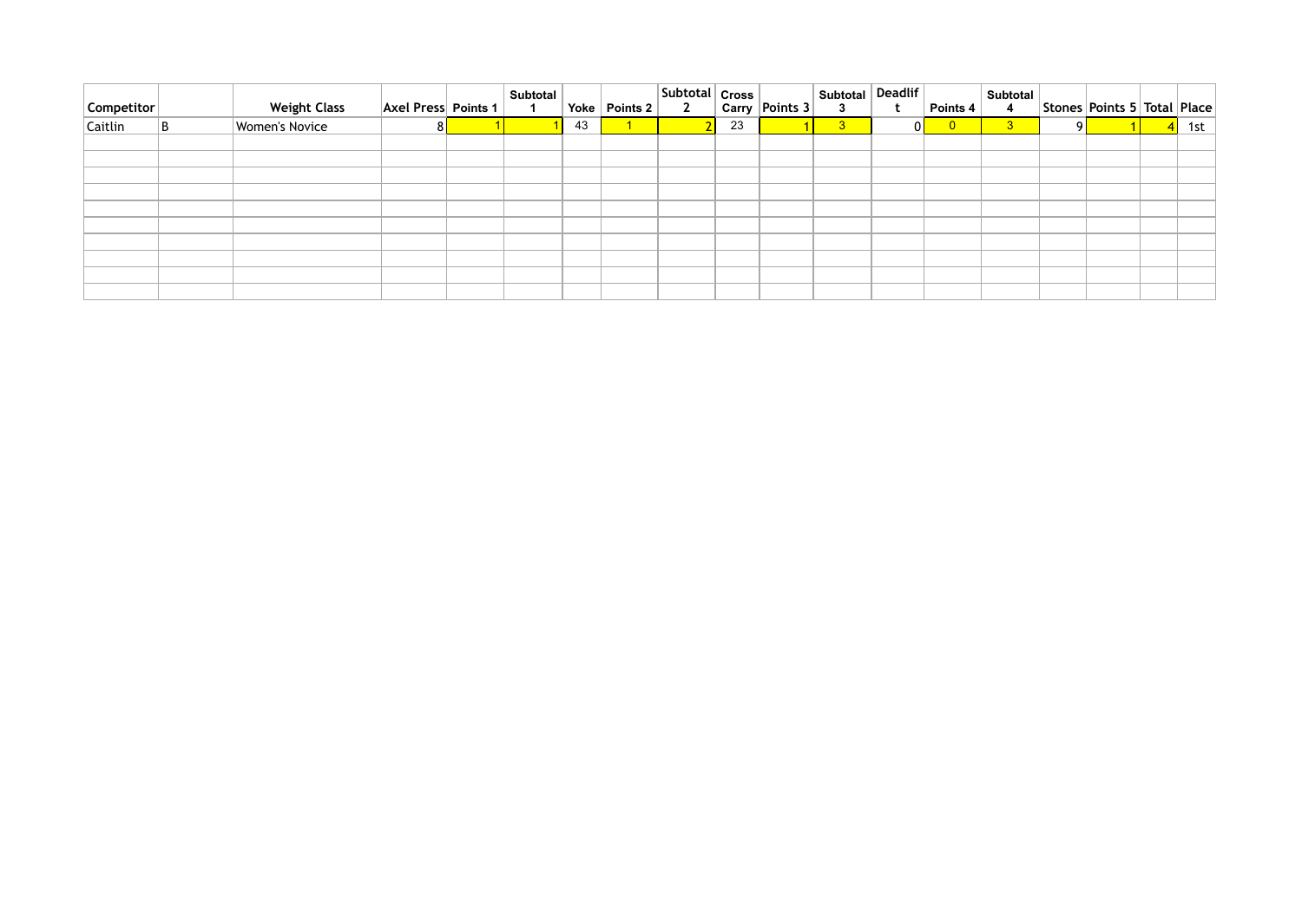| Competitor | <b>Weight Class</b>   | <b>Axel Press Points 1</b> | <b>Subtotal</b> |    | Yoke   Points 2 | Subtotal Cross<br>Carry Points 3 |    | Subtotal Deadlif<br>$\mathbf{3}$ |    | Points 4                | Subtotal<br>$\overline{\mathbf{4}}$ |    | Stones   Points 5   Total   Place |                 |     |
|------------|-----------------------|----------------------------|-----------------|----|-----------------|----------------------------------|----|----------------------------------|----|-------------------------|-------------------------------------|----|-----------------------------------|-----------------|-----|
| Caitlin    | <b>Women's Novice</b> | 8 <sup>1</sup>             |                 | 43 |                 |                                  | 23 | 3 <sup>°</sup>                   | 01 | $\overline{\mathbf{0}}$ | 3 <sup>°</sup>                      | ΩI |                                   | $\vert 4 \vert$ | 1st |
|            |                       |                            |                 |    |                 |                                  |    |                                  |    |                         |                                     |    |                                   |                 |     |
|            |                       |                            |                 |    |                 |                                  |    |                                  |    |                         |                                     |    |                                   |                 |     |
|            |                       |                            |                 |    |                 |                                  |    |                                  |    |                         |                                     |    |                                   |                 |     |
|            |                       |                            |                 |    |                 |                                  |    |                                  |    |                         |                                     |    |                                   |                 |     |
|            |                       |                            |                 |    |                 |                                  |    |                                  |    |                         |                                     |    |                                   |                 |     |
|            |                       |                            |                 |    |                 |                                  |    |                                  |    |                         |                                     |    |                                   |                 |     |
|            |                       |                            |                 |    |                 |                                  |    |                                  |    |                         |                                     |    |                                   |                 |     |
|            |                       |                            |                 |    |                 |                                  |    |                                  |    |                         |                                     |    |                                   |                 |     |
|            |                       |                            |                 |    |                 |                                  |    |                                  |    |                         |                                     |    |                                   |                 |     |
|            |                       |                            |                 |    |                 |                                  |    |                                  |    |                         |                                     |    |                                   |                 |     |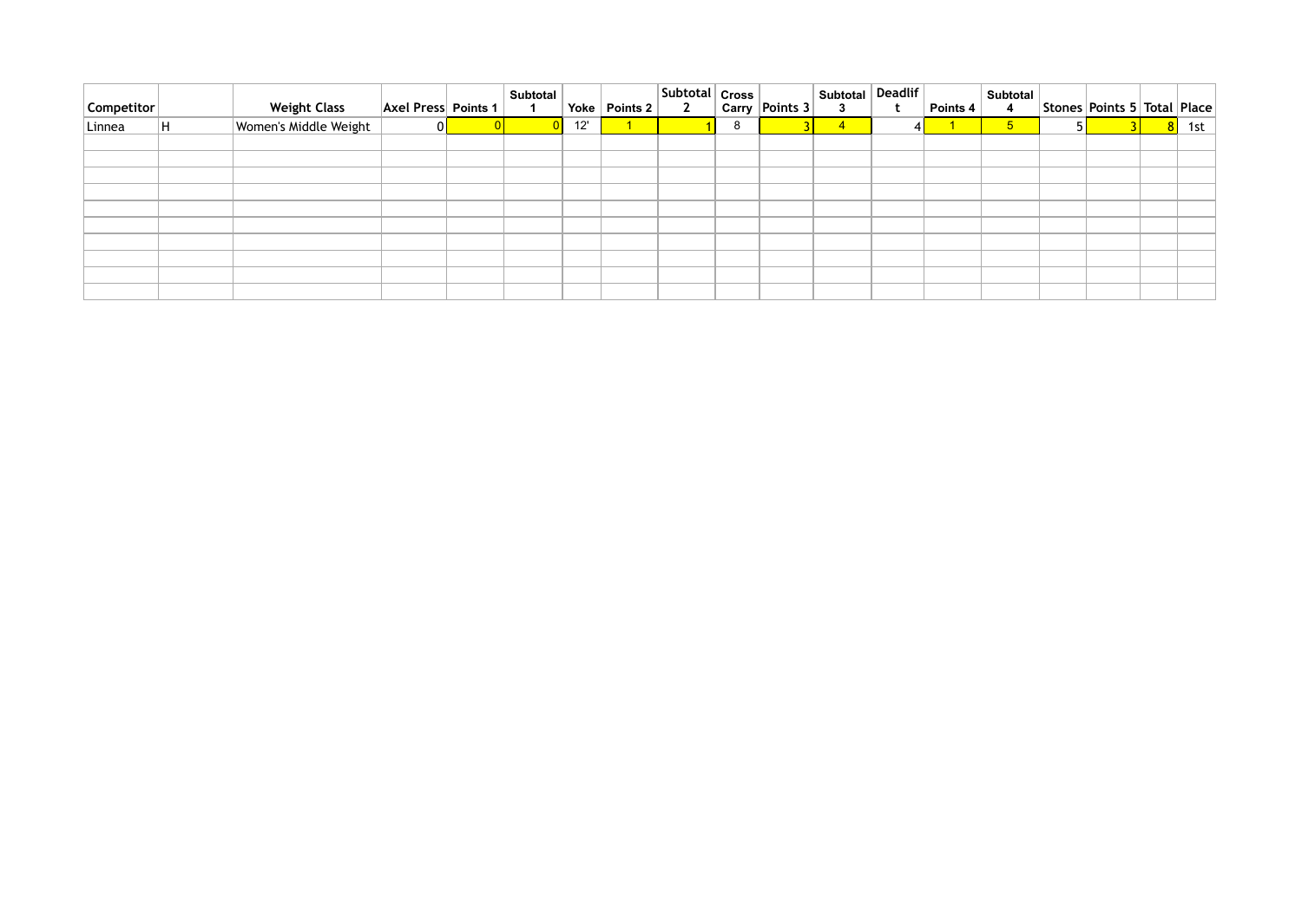| Competitor | <b>Weight Class</b>   | <b>Axel Press Points 1</b> | <b>Subtotal</b> | Yoke $ $ | Points 2 $ $ | Subtotal   Cross  <br>$\overline{2}$ |   | Carry   Points 3 | Subtotal Deadlif<br>$\mathbf{3}$ |   | Points 4 | Subtotal<br>$\overline{\mathbf{4}}$ | Stones Points 5 Total Place |   |     |
|------------|-----------------------|----------------------------|-----------------|----------|--------------|--------------------------------------|---|------------------|----------------------------------|---|----------|-------------------------------------|-----------------------------|---|-----|
| Linnea     | Women's Middle Weight | 01                         |                 | 12'      |              |                                      | 8 |                  | $\overline{4}$                   | 4 |          | $5\overline{)}$                     |                             | 8 | 1st |
|            |                       |                            |                 |          |              |                                      |   |                  |                                  |   |          |                                     |                             |   |     |
|            |                       |                            |                 |          |              |                                      |   |                  |                                  |   |          |                                     |                             |   |     |
|            |                       |                            |                 |          |              |                                      |   |                  |                                  |   |          |                                     |                             |   |     |
|            |                       |                            |                 |          |              |                                      |   |                  |                                  |   |          |                                     |                             |   |     |
|            |                       |                            |                 |          |              |                                      |   |                  |                                  |   |          |                                     |                             |   |     |
|            |                       |                            |                 |          |              |                                      |   |                  |                                  |   |          |                                     |                             |   |     |
|            |                       |                            |                 |          |              |                                      |   |                  |                                  |   |          |                                     |                             |   |     |
|            |                       |                            |                 |          |              |                                      |   |                  |                                  |   |          |                                     |                             |   |     |
|            |                       |                            |                 |          |              |                                      |   |                  |                                  |   |          |                                     |                             |   |     |
|            |                       |                            |                 |          |              |                                      |   |                  |                                  |   |          |                                     |                             |   |     |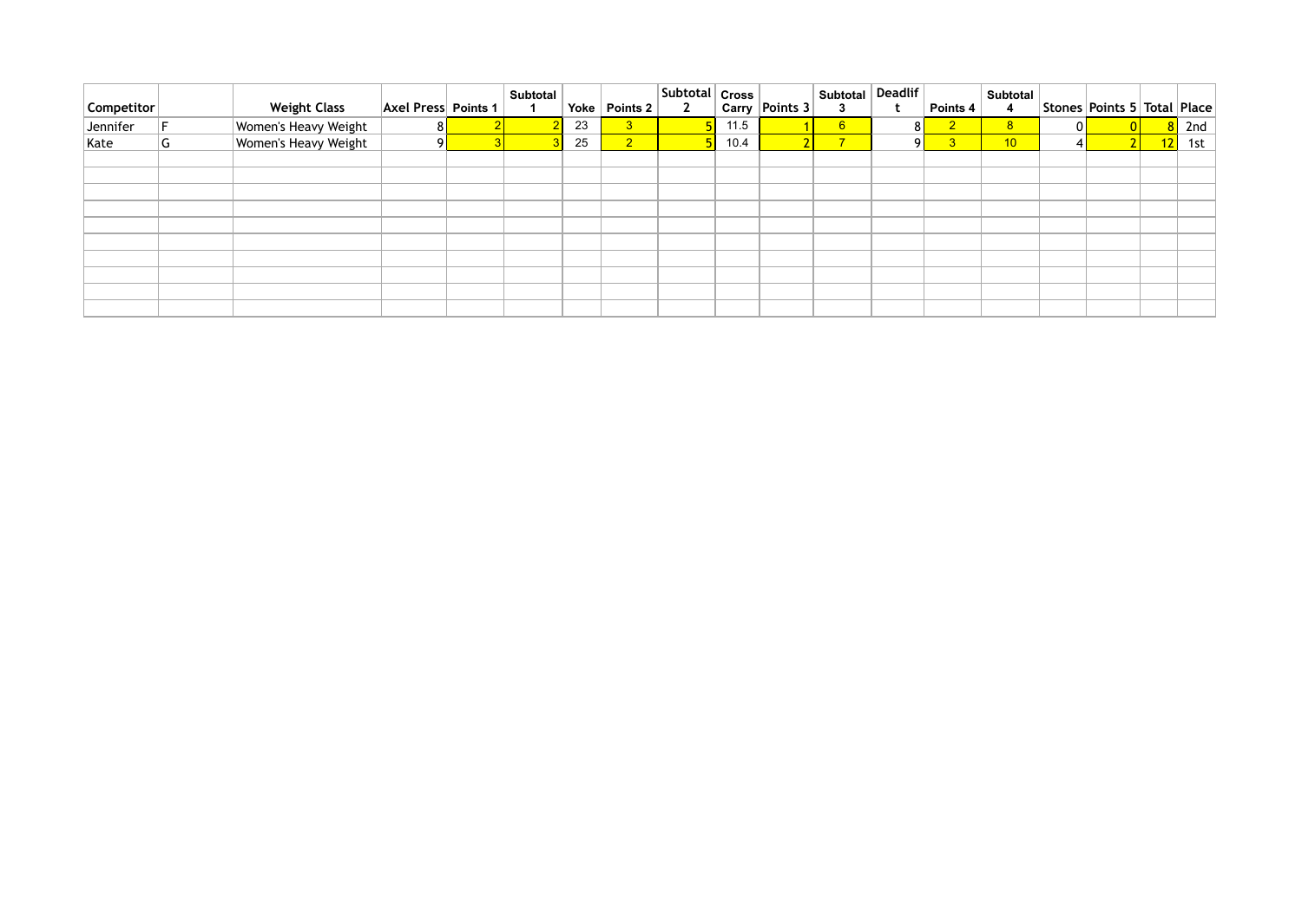| Competitor |   | <b>Weight Class</b>  | <b>Axel Press Points 1</b> | <b>Subtotal</b> | Yoke | Points 2       | <b>Subtotal   Cross  </b><br>$2^{\circ}$ |      | Carry Points 3 | Subtotal<br>3           | <b>Deadlif</b> | Points 4       | <b>Subtotal</b><br>4 |    | Stones   Points 5   Total   Place |    |     |
|------------|---|----------------------|----------------------------|-----------------|------|----------------|------------------------------------------|------|----------------|-------------------------|----------------|----------------|----------------------|----|-----------------------------------|----|-----|
| Jennifer   |   | Women's Heavy Weight | 81                         |                 | 23   | 3 <sup>°</sup> |                                          | 11.5 |                | 6 <sup>1</sup>          | 81             | $\overline{2}$ | 8 <sup>1</sup>       | OI |                                   |    | 2nd |
| Kate       | G | Women's Heavy Weight | <sup>o</sup>               |                 | 25   | 2 <sup>1</sup> |                                          | 10.4 |                | $\overline{\mathbf{z}}$ | ΩI             |                | 10                   |    |                                   | 12 | 1st |
|            |   |                      |                            |                 |      |                |                                          |      |                |                         |                |                |                      |    |                                   |    |     |
|            |   |                      |                            |                 |      |                |                                          |      |                |                         |                |                |                      |    |                                   |    |     |
|            |   |                      |                            |                 |      |                |                                          |      |                |                         |                |                |                      |    |                                   |    |     |
|            |   |                      |                            |                 |      |                |                                          |      |                |                         |                |                |                      |    |                                   |    |     |
|            |   |                      |                            |                 |      |                |                                          |      |                |                         |                |                |                      |    |                                   |    |     |
|            |   |                      |                            |                 |      |                |                                          |      |                |                         |                |                |                      |    |                                   |    |     |
|            |   |                      |                            |                 |      |                |                                          |      |                |                         |                |                |                      |    |                                   |    |     |
|            |   |                      |                            |                 |      |                |                                          |      |                |                         |                |                |                      |    |                                   |    |     |
|            |   |                      |                            |                 |      |                |                                          |      |                |                         |                |                |                      |    |                                   |    |     |
|            |   |                      |                            |                 |      |                |                                          |      |                |                         |                |                |                      |    |                                   |    |     |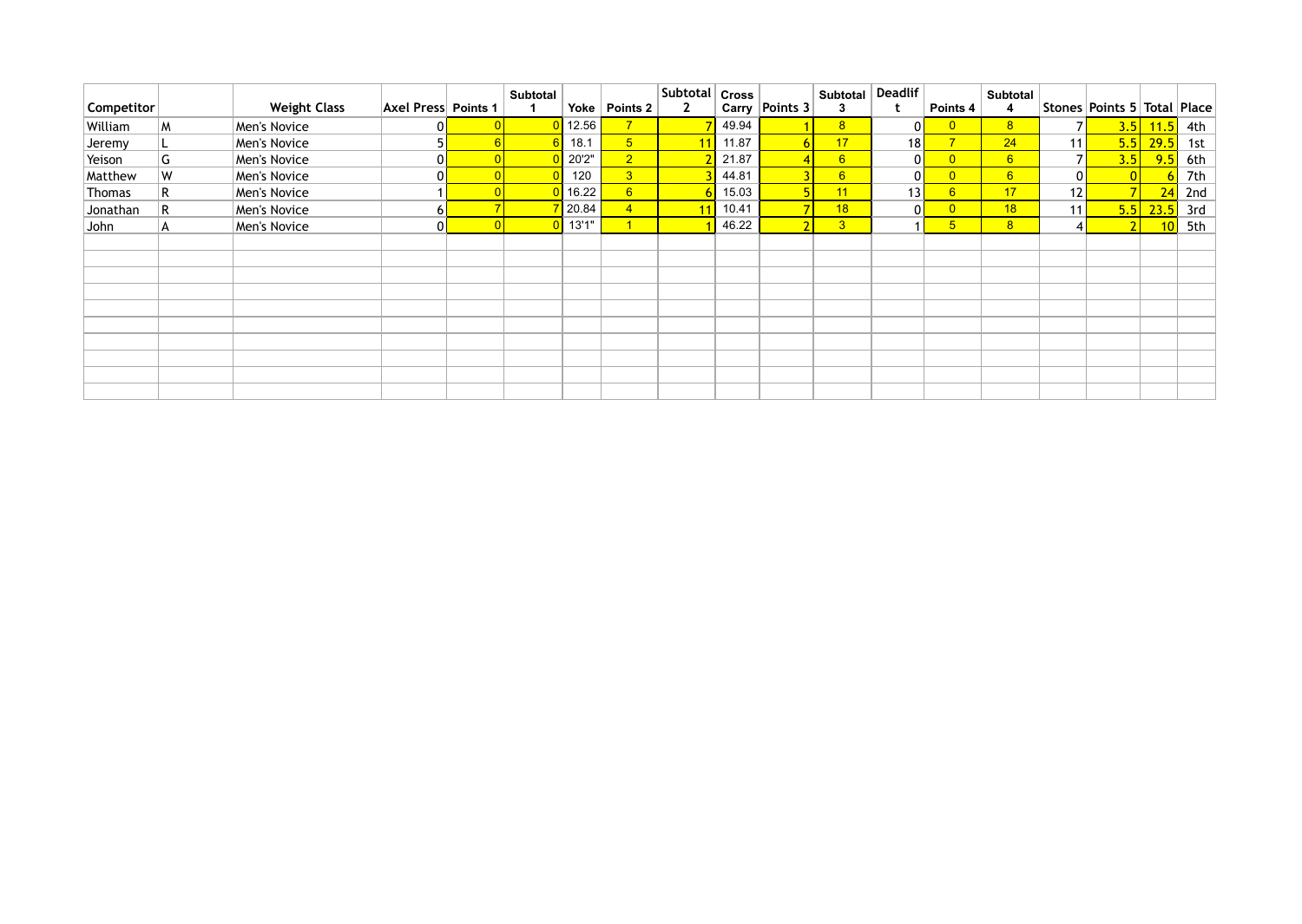| Competitor |   | <b>Weight Class</b> | <b>Axel Press Points 1</b> | <b>Subtotal</b> | Yoke  | Points 2        | Subtotal<br>$\mathbf{2}$ | <b>Cross</b> | Carry Points 3 | <b>Subtotal</b><br>3 | <b>Deadlif</b>  | Points 4                | <b>Subtotal</b><br>4 |                 | Stones   Points 5   Total   Place |             |     |
|------------|---|---------------------|----------------------------|-----------------|-------|-----------------|--------------------------|--------------|----------------|----------------------|-----------------|-------------------------|----------------------|-----------------|-----------------------------------|-------------|-----|
| William    | M | Men's Novice        |                            |                 | 12.56 | 7 <sup>7</sup>  |                          | 49.94        |                | 8 <sup>1</sup>       | 0               | $\overline{0}$          | 8 <sup>1</sup>       |                 |                                   | $3.5$ 11.5  | 4th |
| Jeremy     |   | Men's Novice        |                            |                 | 18.1  | 5 <sub>5</sub>  |                          | 11.87        |                | 17                   | 18              | $\overline{7}$          | 24                   | 11              |                                   | $5.5$ 29.5  | 1st |
| Yeison     | G | Men's Novice        |                            |                 | 20'2" | 2 <sup>1</sup>  |                          | 21.87        |                | 6 <sup>1</sup>       | 0               | $\overline{0}$          | 6                    |                 | 3.5                               | 9.5         | 6th |
| Matthew    | W | Men's Novice        |                            |                 | 120   | 3 <sup>2</sup>  |                          | 44.81        |                | $6 \overline{6}$     | 0               | $\overline{\mathbf{0}}$ | 6                    | $\overline{0}$  |                                   |             | 7th |
| Thomas     | R | Men's Novice        |                            |                 | 16.22 | $6\overline{6}$ |                          | 15.03        |                | 11                   | 13 <sub>h</sub> | 6                       | 17                   | 12 <sub>h</sub> |                                   | 24          | 2nd |
| Jonathan   | R | Men's Novice        |                            |                 | 20.84 | $\overline{4}$  |                          | 10.41        |                | 18                   | 0               | $\overline{0}$          | 18                   | 11 <sub>h</sub> | 5.5                               | 23.5        | 3rd |
| John       | A | Men's Novice        |                            |                 | 13'1" |                 |                          | 46.22        |                | 3 <sup>2</sup>       |                 | 5 <sub>5</sub>          | 8 <sup>1</sup>       | 41              |                                   | $\sqrt{10}$ | 5th |
|            |   |                     |                            |                 |       |                 |                          |              |                |                      |                 |                         |                      |                 |                                   |             |     |
|            |   |                     |                            |                 |       |                 |                          |              |                |                      |                 |                         |                      |                 |                                   |             |     |
|            |   |                     |                            |                 |       |                 |                          |              |                |                      |                 |                         |                      |                 |                                   |             |     |
|            |   |                     |                            |                 |       |                 |                          |              |                |                      |                 |                         |                      |                 |                                   |             |     |
|            |   |                     |                            |                 |       |                 |                          |              |                |                      |                 |                         |                      |                 |                                   |             |     |
|            |   |                     |                            |                 |       |                 |                          |              |                |                      |                 |                         |                      |                 |                                   |             |     |
|            |   |                     |                            |                 |       |                 |                          |              |                |                      |                 |                         |                      |                 |                                   |             |     |
|            |   |                     |                            |                 |       |                 |                          |              |                |                      |                 |                         |                      |                 |                                   |             |     |
|            |   |                     |                            |                 |       |                 |                          |              |                |                      |                 |                         |                      |                 |                                   |             |     |
|            |   |                     |                            |                 |       |                 |                          |              |                |                      |                 |                         |                      |                 |                                   |             |     |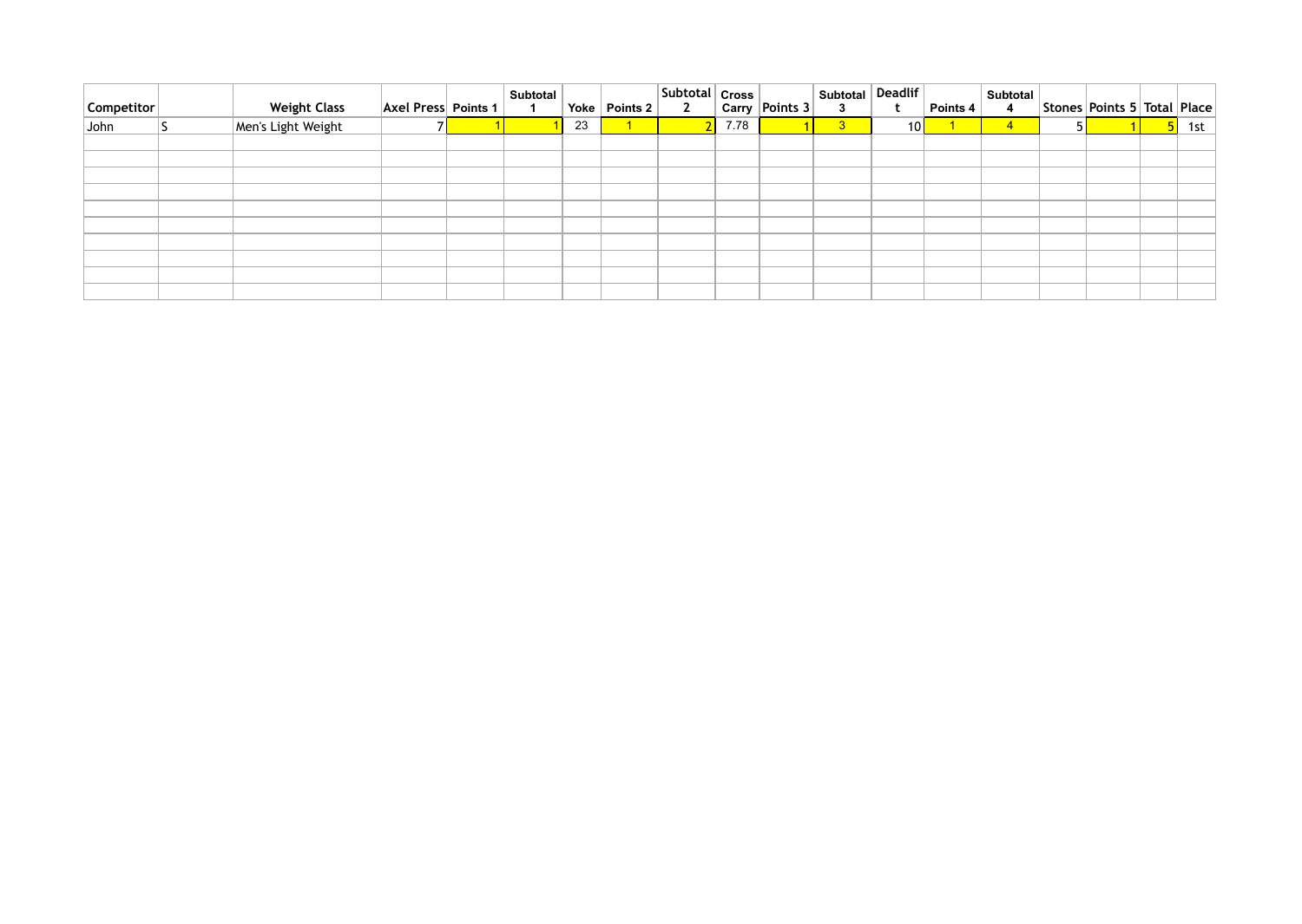| $ $ Competitor $ $ | <b>Weight Class</b> | $ Axel Press $ Points 1 | <b>Subtotal</b> | Yoke | Points 2 | $ $ Subtotal $ $ Cross $ $<br>$\mathbf{2}$ |      | $^{\text{!}}$ Carry $\vert$ Points 3 $\vert$ | I Subtotal Deadlif<br>$\mathbf{3}$ |                 | Points 4 | Subtotal<br>$\overline{4}$ | Stones   Points 5   Total   Place |     |
|--------------------|---------------------|-------------------------|-----------------|------|----------|--------------------------------------------|------|----------------------------------------------|------------------------------------|-----------------|----------|----------------------------|-----------------------------------|-----|
| John               | Men's Light Weight  |                         |                 | 23   |          |                                            | 7.78 |                                              | 3 <sup>2</sup>                     | 10 <sup>1</sup> |          | $\overline{4}$             |                                   | 1st |
|                    |                     |                         |                 |      |          |                                            |      |                                              |                                    |                 |          |                            |                                   |     |
|                    |                     |                         |                 |      |          |                                            |      |                                              |                                    |                 |          |                            |                                   |     |
|                    |                     |                         |                 |      |          |                                            |      |                                              |                                    |                 |          |                            |                                   |     |
|                    |                     |                         |                 |      |          |                                            |      |                                              |                                    |                 |          |                            |                                   |     |
|                    |                     |                         |                 |      |          |                                            |      |                                              |                                    |                 |          |                            |                                   |     |
|                    |                     |                         |                 |      |          |                                            |      |                                              |                                    |                 |          |                            |                                   |     |
|                    |                     |                         |                 |      |          |                                            |      |                                              |                                    |                 |          |                            |                                   |     |
|                    |                     |                         |                 |      |          |                                            |      |                                              |                                    |                 |          |                            |                                   |     |
|                    |                     |                         |                 |      |          |                                            |      |                                              |                                    |                 |          |                            |                                   |     |
|                    |                     |                         |                 |      |          |                                            |      |                                              |                                    |                 |          |                            |                                   |     |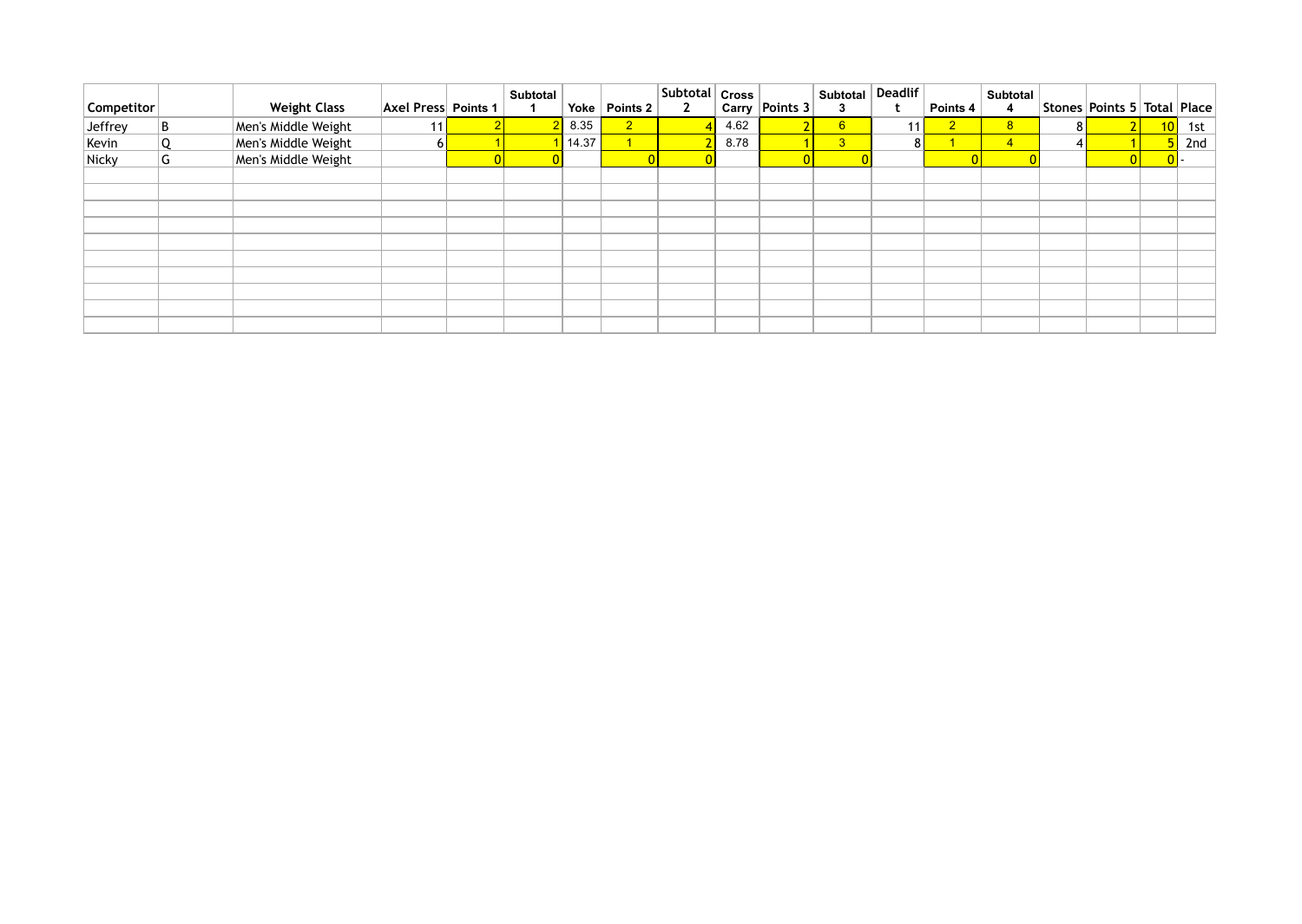| Competitor |   | <b>Weight Class</b> | <b>Axel Press Points 1</b> | <b>Subtotal</b> | Yoke  | Points 2       | Subtotal   Cross  <br>$\mathbf{2}$ |      | Carry Points 3    | <b>Subtotal</b><br>3 | <b>Deadlif</b> | Points 4       | , Subtotal <sup>∤</sup> |     | Stones Points 5 Total Place |                 |     |
|------------|---|---------------------|----------------------------|-----------------|-------|----------------|------------------------------------|------|-------------------|----------------------|----------------|----------------|-------------------------|-----|-----------------------------|-----------------|-----|
| Jeffrey    | B | Men's Middle Weight | 11                         |                 | 8.35  | 2 <sup>7</sup> |                                    | 4.62 | $\mathbf{\Omega}$ | 6                    | 11             | $\overline{2}$ | 8 <sup>°</sup>          | 8 I |                             | 10 <sub>1</sub> | 1st |
| Kevin      |   | Men's Middle Weight | <b>6</b>                   |                 | 14.37 |                |                                    | 8.78 |                   | 3 <sup>°</sup>       | 8 <sup>1</sup> |                | $\overline{4}$          |     |                             |                 | 2nd |
| Nicky      | G | Men's Middle Weight |                            |                 |       |                |                                    |      |                   |                      |                |                |                         |     |                             |                 |     |
|            |   |                     |                            |                 |       |                |                                    |      |                   |                      |                |                |                         |     |                             |                 |     |
|            |   |                     |                            |                 |       |                |                                    |      |                   |                      |                |                |                         |     |                             |                 |     |
|            |   |                     |                            |                 |       |                |                                    |      |                   |                      |                |                |                         |     |                             |                 |     |
|            |   |                     |                            |                 |       |                |                                    |      |                   |                      |                |                |                         |     |                             |                 |     |
|            |   |                     |                            |                 |       |                |                                    |      |                   |                      |                |                |                         |     |                             |                 |     |
|            |   |                     |                            |                 |       |                |                                    |      |                   |                      |                |                |                         |     |                             |                 |     |
|            |   |                     |                            |                 |       |                |                                    |      |                   |                      |                |                |                         |     |                             |                 |     |
|            |   |                     |                            |                 |       |                |                                    |      |                   |                      |                |                |                         |     |                             |                 |     |
|            |   |                     |                            |                 |       |                |                                    |      |                   |                      |                |                |                         |     |                             |                 |     |
|            |   |                     |                            |                 |       |                |                                    |      |                   |                      |                |                |                         |     |                             |                 |     |